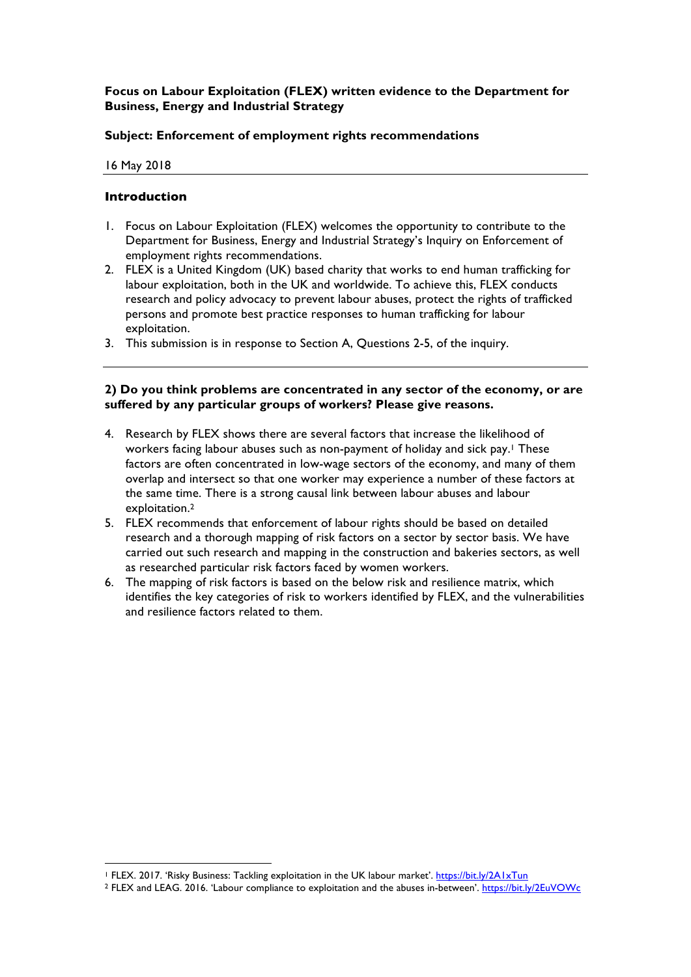# **Focus on Labour Exploitation (FLEX) written evidence to the Department for Business, Energy and Industrial Strategy**

# **Subject: Enforcement of employment rights recommendations**

16 May 2018

# **Introduction**

- 1. Focus on Labour Exploitation (FLEX) welcomes the opportunity to contribute to the Department for Business, Energy and Industrial Strategy's Inquiry on Enforcement of employment rights recommendations.
- 2. FLEX is a United Kingdom (UK) based charity that works to end human trafficking for labour exploitation, both in the UK and worldwide. To achieve this, FLEX conducts research and policy advocacy to prevent labour abuses, protect the rights of trafficked persons and promote best practice responses to human trafficking for labour exploitation.
- 3. This submission is in response to Section A, Questions 2-5, of the inquiry.

### **2) Do you think problems are concentrated in any sector of the economy, or are suffered by any particular groups of workers? Please give reasons.**

- 4. Research by FLEX shows there are several factors that increase the likelihood of workers facing labour abuses such as non-payment of holiday and sick pay. <sup>1</sup> These factors are often concentrated in low-wage sectors of the economy, and many of them overlap and intersect so that one worker may experience a number of these factors at the same time. There is a strong causal link between labour abuses and labour exploitation.2
- 5. FLEX recommends that enforcement of labour rights should be based on detailed research and a thorough mapping of risk factors on a sector by sector basis. We have carried out such research and mapping in the construction and bakeries sectors, as well as researched particular risk factors faced by women workers.
- 6. The mapping of risk factors is based on the below risk and resilience matrix, which identifies the key categories of risk to workers identified by FLEX, and the vulnerabilities and resilience factors related to them.

 $\overline{a}$ <sup>1</sup> FLEX. 2017. 'Risky Business: Tackling exploitation in the UK labour market'. https://bit.ly/2A1xTun

<sup>2</sup> FLEX and LEAG. 2016. 'Labour compliance to exploitation and the abuses in-between'. https://bit.ly/2EuVOWc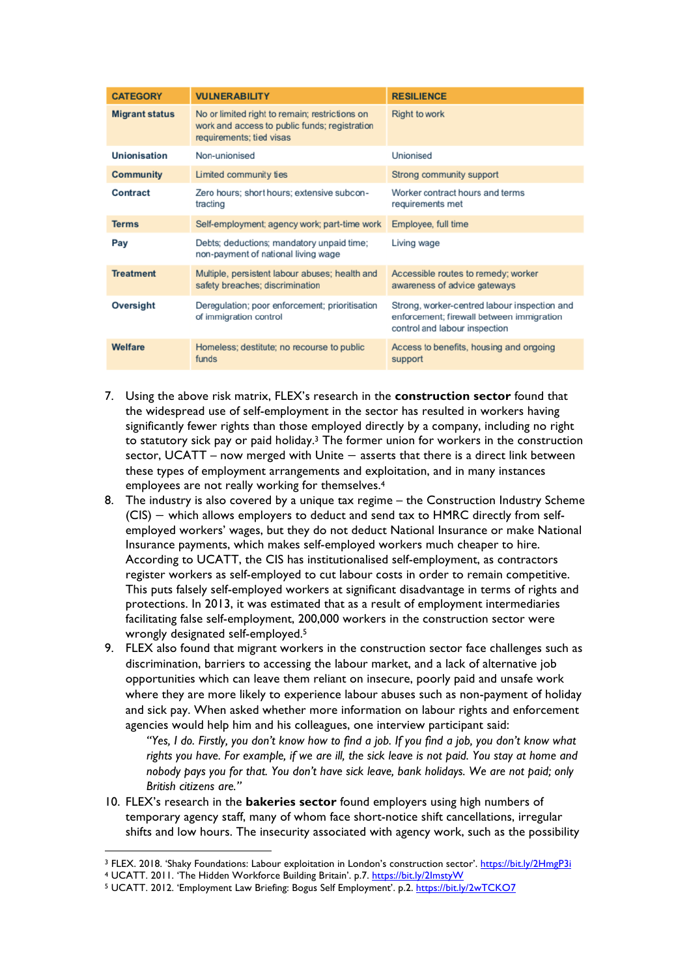| <b>CATEGORY</b>       | <b>VULNERABILITY</b>                                                                                                        | <b>RESILIENCE</b>                                                                                                          |
|-----------------------|-----------------------------------------------------------------------------------------------------------------------------|----------------------------------------------------------------------------------------------------------------------------|
| <b>Migrant status</b> | No or limited right to remain; restrictions on<br>work and access to public funds; registration<br>requirements; tied visas | <b>Right to work</b>                                                                                                       |
| Unionisation          | Non-unionised                                                                                                               | <b>Unionised</b>                                                                                                           |
| <b>Community</b>      | Limited community ties                                                                                                      | Strong community support                                                                                                   |
| Contract              | Zero hours; short hours; extensive subcon-<br>tracting                                                                      | Worker contract hours and terms<br>requirements met                                                                        |
| <b>Terms</b>          | Self-employment; agency work; part-time work                                                                                | Employee, full time                                                                                                        |
| Pay                   | Debts; deductions; mandatory unpaid time;<br>non-payment of national living wage                                            | Living wage                                                                                                                |
| <b>Treatment</b>      | Multiple, persistent labour abuses; health and<br>safety breaches; discrimination                                           | Accessible routes to remedy; worker<br>awareness of advice gateways                                                        |
| Oversight             | Deregulation; poor enforcement; prioritisation<br>of immigration control                                                    | Strong, worker-centred labour inspection and<br>enforcement; firewall between immigration<br>control and labour inspection |
| Welfare               | Homeless; destitute; no recourse to public<br>funds                                                                         | Access to benefits, housing and ongoing<br>support                                                                         |

- 7. Using the above risk matrix, FLEX's research in the **construction sector** found that the widespread use of self-employment in the sector has resulted in workers having significantly fewer rights than those employed directly by a company, including no right to statutory sick pay or paid holiday.3 The former union for workers in the construction sector, UCATT – now merged with Unite – asserts that there is a direct link between these types of employment arrangements and exploitation, and in many instances employees are not really working for themselves.4
- 8. The industry is also covered by a unique tax regime the Construction Industry Scheme (CIS) − which allows employers to deduct and send tax to HMRC directly from selfemployed workers' wages, but they do not deduct National Insurance or make National Insurance payments, which makes self-employed workers much cheaper to hire. According to UCATT, the CIS has institutionalised self-employment, as contractors register workers as self-employed to cut labour costs in order to remain competitive. This puts falsely self-employed workers at significant disadvantage in terms of rights and protections. In 2013, it was estimated that as a result of employment intermediaries facilitating false self-employment, 200,000 workers in the construction sector were wrongly designated self-employed.<sup>5</sup>
- 9. FLEX also found that migrant workers in the construction sector face challenges such as discrimination, barriers to accessing the labour market, and a lack of alternative job opportunities which can leave them reliant on insecure, poorly paid and unsafe work where they are more likely to experience labour abuses such as non-payment of holiday and sick pay. When asked whether more information on labour rights and enforcement agencies would help him and his colleagues, one interview participant said:

*"Yes, I do. Firstly, you don't know how to find a job. If you find a job, you don't know what rights you have. For example, if we are ill, the sick leave is not paid. You stay at home and nobody pays you for that. You don't have sick leave, bank holidays. We are not paid; only British citizens are."*

10. FLEX's research in the **bakeries sector** found employers using high numbers of temporary agency staff, many of whom face short-notice shift cancellations, irregular shifts and low hours. The insecurity associated with agency work, such as the possibility

<sup>&</sup>lt;sup>3</sup> FLEX. 2018. 'Shaky Foundations: Labour exploitation in London's construction sector'. https://bit.ly/2HmgP3i

<sup>4</sup> UCATT. 2011. 'The Hidden Workforce Building Britain'. p.7. https://bit.ly/2ImstyW

<sup>5</sup> UCATT. 2012. 'Employment Law Briefing: Bogus Self Employment'. p.2. https://bit.ly/2wTCKO7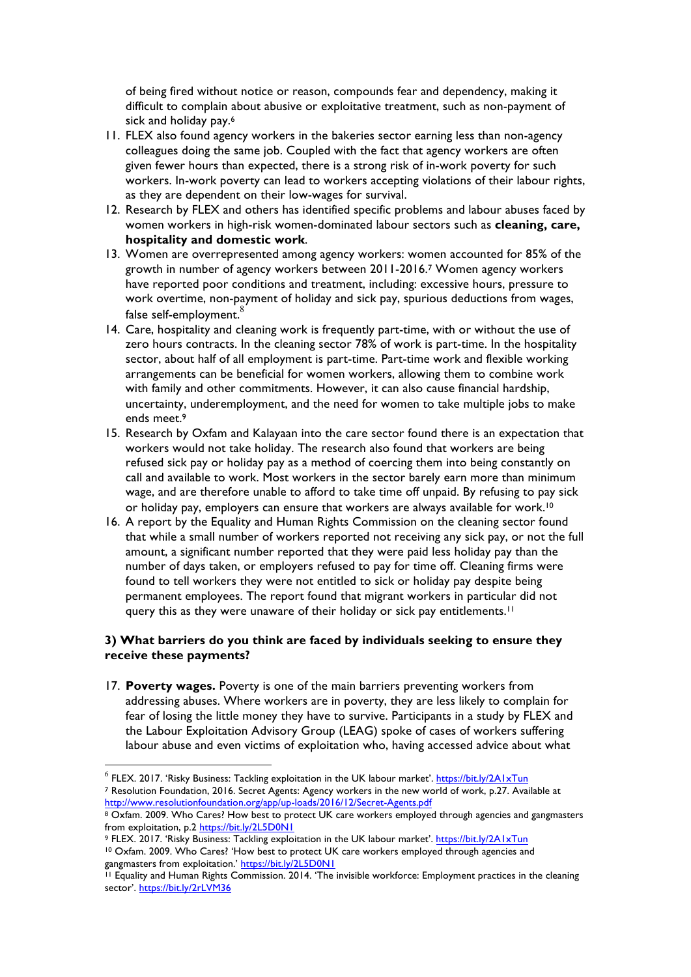of being fired without notice or reason, compounds fear and dependency, making it difficult to complain about abusive or exploitative treatment, such as non-payment of sick and holiday pay.<sup>6</sup>

- 11. FLEX also found agency workers in the bakeries sector earning less than non-agency colleagues doing the same job. Coupled with the fact that agency workers are often given fewer hours than expected, there is a strong risk of in-work poverty for such workers. In-work poverty can lead to workers accepting violations of their labour rights, as they are dependent on their low-wages for survival.
- 12. Research by FLEX and others has identified specific problems and labour abuses faced by women workers in high-risk women-dominated labour sectors such as **cleaning, care, hospitality and domestic work**.
- 13. Women are overrepresented among agency workers: women accounted for 85% of the growth in number of agency workers between 2011-2016.7 Women agency workers have reported poor conditions and treatment, including: excessive hours, pressure to work overtime, non-payment of holiday and sick pay, spurious deductions from wages, false self-employment.<sup>8</sup>
- 14. Care, hospitality and cleaning work is frequently part-time, with or without the use of zero hours contracts. In the cleaning sector 78% of work is part-time. In the hospitality sector, about half of all employment is part-time. Part-time work and flexible working arrangements can be beneficial for women workers, allowing them to combine work with family and other commitments. However, it can also cause financial hardship, uncertainty, underemployment, and the need for women to take multiple jobs to make ends meet.<sup>9</sup>
- 15. Research by Oxfam and Kalayaan into the care sector found there is an expectation that workers would not take holiday. The research also found that workers are being refused sick pay or holiday pay as a method of coercing them into being constantly on call and available to work. Most workers in the sector barely earn more than minimum wage, and are therefore unable to afford to take time off unpaid. By refusing to pay sick or holiday pay, employers can ensure that workers are always available for work.10
- 16. A report by the Equality and Human Rights Commission on the cleaning sector found that while a small number of workers reported not receiving any sick pay, or not the full amount, a significant number reported that they were paid less holiday pay than the number of days taken, or employers refused to pay for time off. Cleaning firms were found to tell workers they were not entitled to sick or holiday pay despite being permanent employees. The report found that migrant workers in particular did not query this as they were unaware of their holiday or sick pay entitlements.<sup>11</sup>

# **3) What barriers do you think are faced by individuals seeking to ensure they receive these payments?**

17. **Poverty wages.** Poverty is one of the main barriers preventing workers from addressing abuses. Where workers are in poverty, they are less likely to complain for fear of losing the little money they have to survive. Participants in a study by FLEX and the Labour Exploitation Advisory Group (LEAG) spoke of cases of workers suffering labour abuse and even victims of exploitation who, having accessed advice about what

9 FLEX. 2017. 'Risky Business: Tackling exploitation in the UK labour market'. https://bit.ly/2A1xTun <sup>10</sup> Oxfam. 2009. Who Cares? 'How best to protect UK care workers employed through agencies and gangmasters from exploitation.' https://bit.ly/2L5D0N1

 $6$  FLEX. 2017. 'Risky Business: Tackling exploitation in the UK labour market'. https://bit.ly/2A1xTun <sup>7</sup> Resolution Foundation, 2016. Secret Agents: Agency workers in the new world of work, p.27. Available at http://www.resolutionfoundation.org/app/up-loads/2016/12/Secret-Agents.pdf

<sup>8</sup> Oxfam. 2009. Who Cares? How best to protect UK care workers employed through agencies and gangmasters from exploitation, p.2 https://bit.ly/2L5D0N1

<sup>11</sup> Equality and Human Rights Commission. 2014. 'The invisible workforce: Employment practices in the cleaning sector'. https://bit.ly/2rLVM36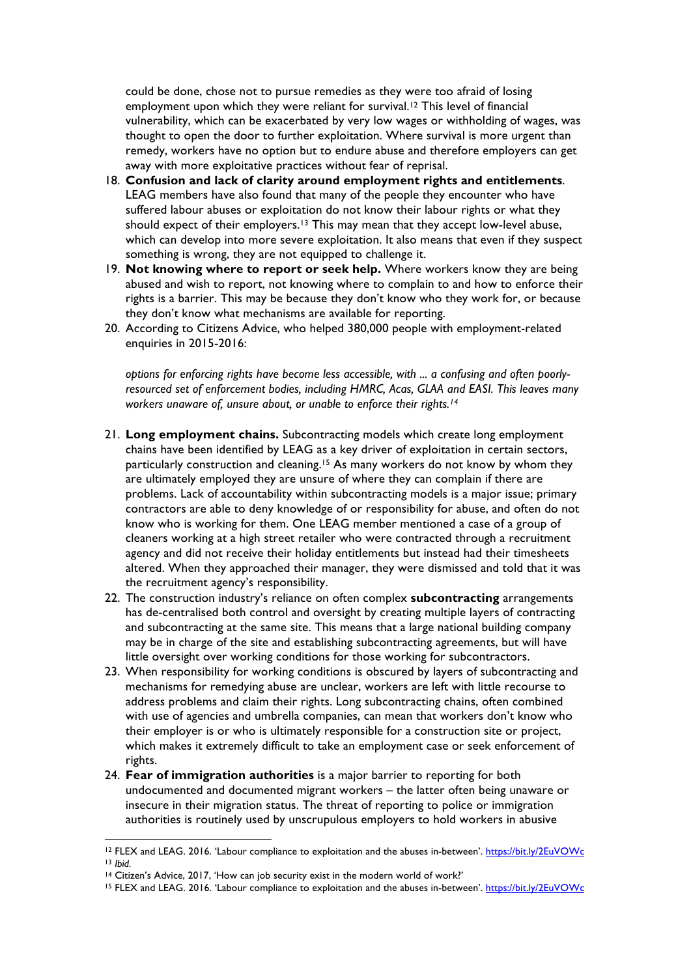could be done, chose not to pursue remedies as they were too afraid of losing employment upon which they were reliant for survival.<sup>12</sup> This level of financial vulnerability, which can be exacerbated by very low wages or withholding of wages, was thought to open the door to further exploitation. Where survival is more urgent than remedy, workers have no option but to endure abuse and therefore employers can get away with more exploitative practices without fear of reprisal.

- 18. **Confusion and lack of clarity around employment rights and entitlements**. LEAG members have also found that many of the people they encounter who have suffered labour abuses or exploitation do not know their labour rights or what they should expect of their employers.13 This may mean that they accept low-level abuse, which can develop into more severe exploitation. It also means that even if they suspect something is wrong, they are not equipped to challenge it.
- 19. **Not knowing where to report or seek help.** Where workers know they are being abused and wish to report, not knowing where to complain to and how to enforce their rights is a barrier. This may be because they don't know who they work for, or because they don't know what mechanisms are available for reporting.
- 20. According to Citizens Advice, who helped 380,000 people with employment-related enquiries in 2015-2016:

*options for enforcing rights have become less accessible, with ... a confusing and often poorlyresourced set of enforcement bodies, including HMRC, Acas, GLAA and EASI. This leaves many workers unaware of, unsure about, or unable to enforce their rights.14*

- 21. **Long employment chains.** Subcontracting models which create long employment chains have been identified by LEAG as a key driver of exploitation in certain sectors, particularly construction and cleaning.15 As many workers do not know by whom they are ultimately employed they are unsure of where they can complain if there are problems. Lack of accountability within subcontracting models is a major issue; primary contractors are able to deny knowledge of or responsibility for abuse, and often do not know who is working for them. One LEAG member mentioned a case of a group of cleaners working at a high street retailer who were contracted through a recruitment agency and did not receive their holiday entitlements but instead had their timesheets altered. When they approached their manager, they were dismissed and told that it was the recruitment agency's responsibility.
- 22. The construction industry's reliance on often complex **subcontracting** arrangements has de-centralised both control and oversight by creating multiple layers of contracting and subcontracting at the same site. This means that a large national building company may be in charge of the site and establishing subcontracting agreements, but will have little oversight over working conditions for those working for subcontractors.
- 23. When responsibility for working conditions is obscured by layers of subcontracting and mechanisms for remedying abuse are unclear, workers are left with little recourse to address problems and claim their rights. Long subcontracting chains, often combined with use of agencies and umbrella companies, can mean that workers don't know who their employer is or who is ultimately responsible for a construction site or project, which makes it extremely difficult to take an employment case or seek enforcement of rights.
- 24. **Fear of immigration authorities** is a major barrier to reporting for both undocumented and documented migrant workers – the latter often being unaware or insecure in their migration status. The threat of reporting to police or immigration authorities is routinely used by unscrupulous employers to hold workers in abusive

 $\overline{a}$ 

<sup>12</sup> FLEX and LEAG. 2016. 'Labour compliance to exploitation and the abuses in-between'. https://bit.ly/2EuVOWc

<sup>&</sup>lt;sup>13</sup> *Ibid.*<br><sup>14</sup> Citizen's Advice, 2017, 'How can job security exist in the modern world of work?'

<sup>15</sup> FLEX and LEAG. 2016. 'Labour compliance to exploitation and the abuses in-between'. https://bit.ly/2EuVOWc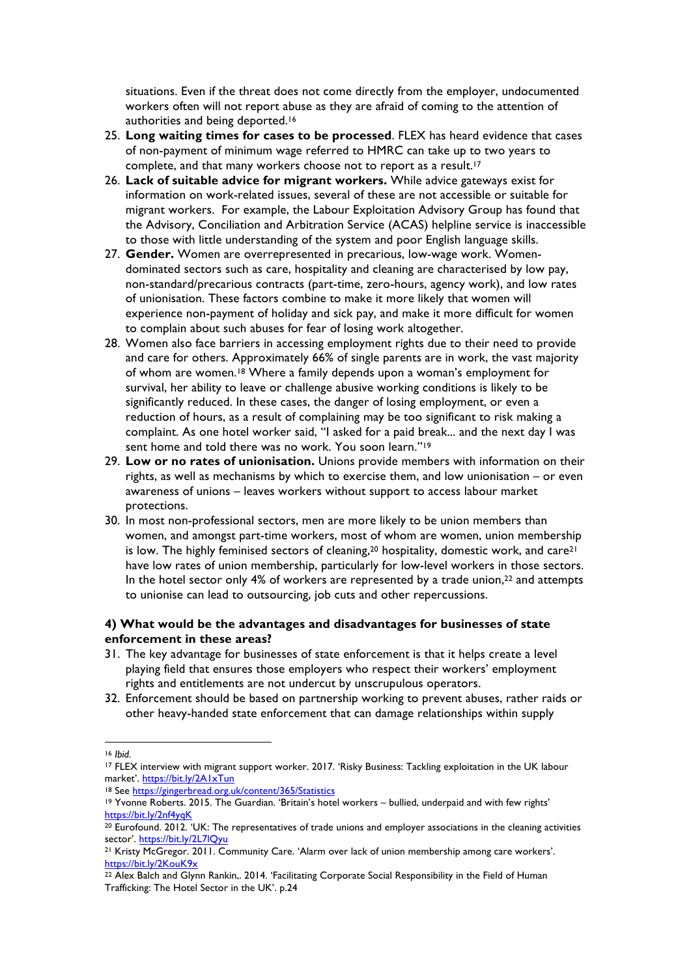situations. Even if the threat does not come directly from the employer, undocumented workers often will not report abuse as they are afraid of coming to the attention of authorities and being deported.<sup>16</sup>

- 25. **Long waiting times for cases to be processed**. FLEX has heard evidence that cases of non-payment of minimum wage referred to HMRC can take up to two years to complete, and that many workers choose not to report as a result.<sup>17</sup>
- 26. **Lack of suitable advice for migrant workers.** While advice gateways exist for information on work-related issues, several of these are not accessible or suitable for migrant workers. For example, the Labour Exploitation Advisory Group has found that the Advisory, Conciliation and Arbitration Service (ACAS) helpline service is inaccessible to those with little understanding of the system and poor English language skills.
- 27. **Gender.** Women are overrepresented in precarious, low-wage work. Womendominated sectors such as care, hospitality and cleaning are characterised by low pay, non-standard/precarious contracts (part-time, zero-hours, agency work), and low rates of unionisation. These factors combine to make it more likely that women will experience non-payment of holiday and sick pay, and make it more difficult for women to complain about such abuses for fear of losing work altogether.
- 28. Women also face barriers in accessing employment rights due to their need to provide and care for others. Approximately 66% of single parents are in work, the vast majority of whom are women.18 Where a family depends upon a woman's employment for survival, her ability to leave or challenge abusive working conditions is likely to be significantly reduced. In these cases, the danger of losing employment, or even a reduction of hours, as a result of complaining may be too significant to risk making a complaint. As one hotel worker said, "I asked for a paid break... and the next day I was sent home and told there was no work. You soon learn."<sup>19</sup>
- 29. **Low or no rates of unionisation.** Unions provide members with information on their rights, as well as mechanisms by which to exercise them, and low unionisation – or even awareness of unions – leaves workers without support to access labour market protections.
- 30. In most non-professional sectors, men are more likely to be union members than women, and amongst part-time workers, most of whom are women, union membership is low. The highly feminised sectors of cleaning,  $20$  hospitality, domestic work, and care $21$ have low rates of union membership, particularly for low-level workers in those sectors. In the hotel sector only 4% of workers are represented by a trade union, $22$  and attempts to unionise can lead to outsourcing, job cuts and other repercussions.

# **4) What would be the advantages and disadvantages for businesses of state enforcement in these areas?**

- 31. The key advantage for businesses of state enforcement is that it helps create a level playing field that ensures those employers who respect their workers' employment rights and entitlements are not undercut by unscrupulous operators.
- 32. Enforcement should be based on partnership working to prevent abuses, rather raids or other heavy-handed state enforcement that can damage relationships within supply

 $\overline{a}$ 

<sup>16</sup> *Ibid.*

<sup>17</sup> FLEX interview with migrant support worker. 2017. 'Risky Business: Tackling exploitation in the UK labour market'. https://bit.ly/2A1xTun

<sup>18</sup> See https://gingerbread.org.uk/content/365/Statistics

<sup>19</sup> Yvonne Roberts. 2015. The Guardian. 'Britain's hotel workers – bullied, underpaid and with few rights' https://bit.ly/2nf4yqK

<sup>&</sup>lt;sup>20</sup> Eurofound. 2012. 'UK: The representatives of trade unions and employer associations in the cleaning activities sector'. <u>https://bit.ly/2L7lQyu</u><br><sup>21</sup> Kristy McGregor. 2011. Community Care. 'Alarm over lack of union membership among care workers'.

https://bit.ly/2KouK9x

<sup>22</sup> Alex Balch and Glynn Rankin,. 2014. 'Facilitating Corporate Social Responsibility in the Field of Human Trafficking: The Hotel Sector in the UK'. p.24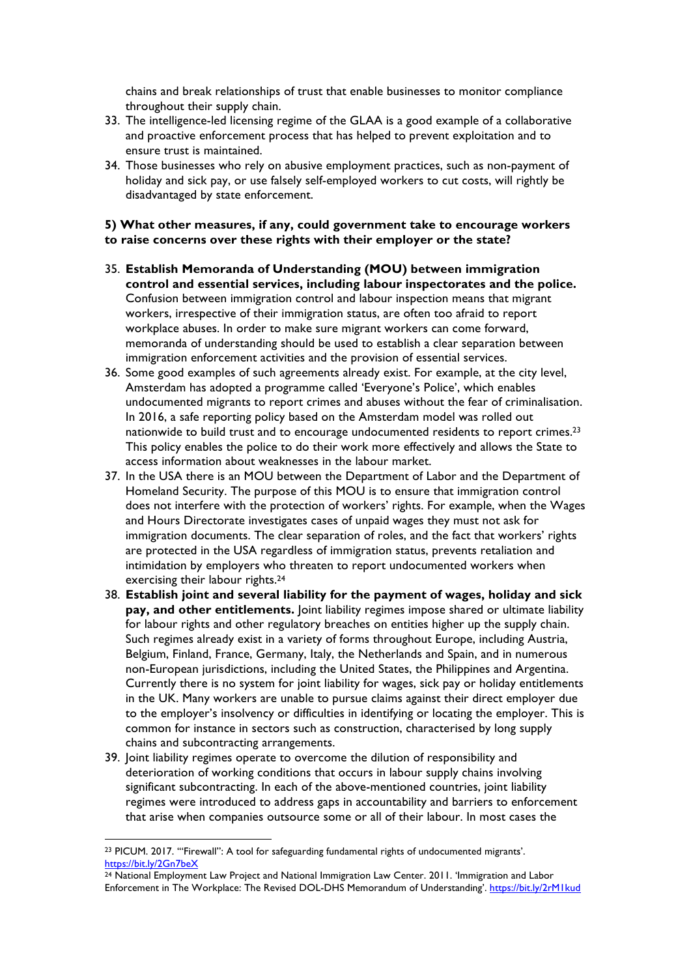chains and break relationships of trust that enable businesses to monitor compliance throughout their supply chain.

- 33. The intelligence-led licensing regime of the GLAA is a good example of a collaborative and proactive enforcement process that has helped to prevent exploitation and to ensure trust is maintained.
- 34. Those businesses who rely on abusive employment practices, such as non-payment of holiday and sick pay, or use falsely self-employed workers to cut costs, will rightly be disadvantaged by state enforcement.

# **5) What other measures, if any, could government take to encourage workers to raise concerns over these rights with their employer or the state?**

- 35. **Establish Memoranda of Understanding (MOU) between immigration control and essential services, including labour inspectorates and the police.**  Confusion between immigration control and labour inspection means that migrant workers, irrespective of their immigration status, are often too afraid to report workplace abuses. In order to make sure migrant workers can come forward, memoranda of understanding should be used to establish a clear separation between immigration enforcement activities and the provision of essential services.
- 36. Some good examples of such agreements already exist. For example, at the city level, Amsterdam has adopted a programme called 'Everyone's Police', which enables undocumented migrants to report crimes and abuses without the fear of criminalisation. In 2016, a safe reporting policy based on the Amsterdam model was rolled out nationwide to build trust and to encourage undocumented residents to report crimes.23 This policy enables the police to do their work more effectively and allows the State to access information about weaknesses in the labour market.
- 37. In the USA there is an MOU between the Department of Labor and the Department of Homeland Security. The purpose of this MOU is to ensure that immigration control does not interfere with the protection of workers' rights. For example, when the Wages and Hours Directorate investigates cases of unpaid wages they must not ask for immigration documents. The clear separation of roles, and the fact that workers' rights are protected in the USA regardless of immigration status, prevents retaliation and intimidation by employers who threaten to report undocumented workers when exercising their labour rights.<sup>24</sup>
- 38. **Establish joint and several liability for the payment of wages, holiday and sick pay, and other entitlements.** Joint liability regimes impose shared or ultimate liability for labour rights and other regulatory breaches on entities higher up the supply chain. Such regimes already exist in a variety of forms throughout Europe, including Austria, Belgium, Finland, France, Germany, Italy, the Netherlands and Spain, and in numerous non-European jurisdictions, including the United States, the Philippines and Argentina. Currently there is no system for joint liability for wages, sick pay or holiday entitlements in the UK. Many workers are unable to pursue claims against their direct employer due to the employer's insolvency or difficulties in identifying or locating the employer. This is common for instance in sectors such as construction, characterised by long supply chains and subcontracting arrangements.
- 39. Joint liability regimes operate to overcome the dilution of responsibility and deterioration of working conditions that occurs in labour supply chains involving significant subcontracting. In each of the above-mentioned countries, joint liability regimes were introduced to address gaps in accountability and barriers to enforcement that arise when companies outsource some or all of their labour. In most cases the

 $\overline{a}$ <sup>23</sup> PICUM. 2017. '"Firewall": A tool for safeguarding fundamental rights of undocumented migrants'. https://bit.ly/2Gn7beX

<sup>24</sup> National Employment Law Project and National Immigration Law Center. 2011. 'Immigration and Labor Enforcement in The Workplace: The Revised DOL-DHS Memorandum of Understanding'. https://bit.ly/2rM1kud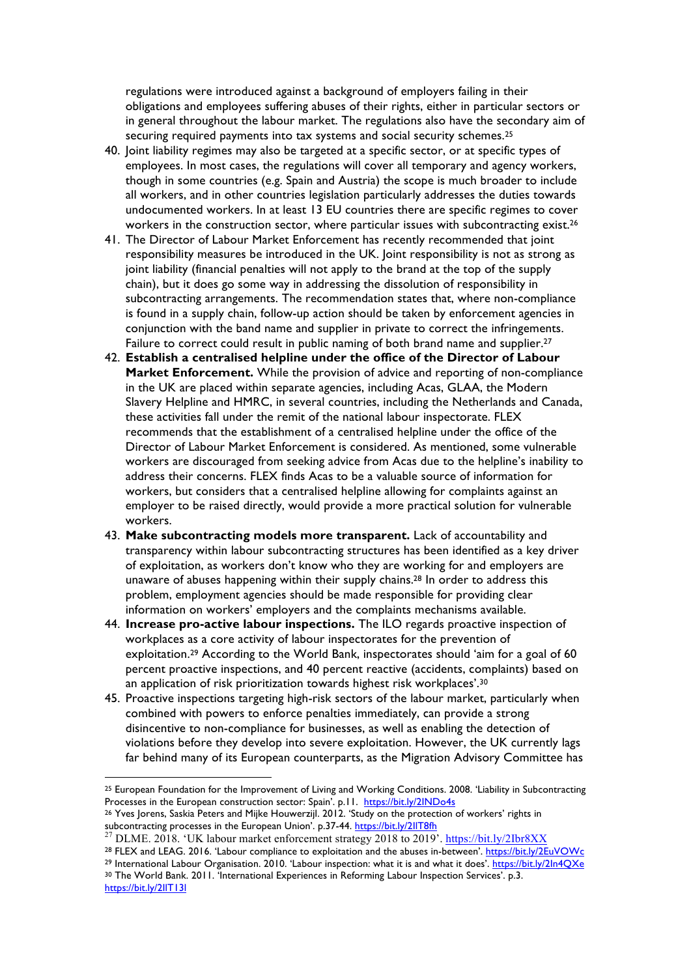regulations were introduced against a background of employers failing in their obligations and employees suffering abuses of their rights, either in particular sectors or in general throughout the labour market. The regulations also have the secondary aim of securing required payments into tax systems and social security schemes.<sup>25</sup>

- 40. Joint liability regimes may also be targeted at a specific sector, or at specific types of employees. In most cases, the regulations will cover all temporary and agency workers, though in some countries (e.g. Spain and Austria) the scope is much broader to include all workers, and in other countries legislation particularly addresses the duties towards undocumented workers. In at least 13 EU countries there are specific regimes to cover workers in the construction sector, where particular issues with subcontracting exist.<sup>26</sup>
- 41. The Director of Labour Market Enforcement has recently recommended that joint responsibility measures be introduced in the UK. Joint responsibility is not as strong as joint liability (financial penalties will not apply to the brand at the top of the supply chain), but it does go some way in addressing the dissolution of responsibility in subcontracting arrangements. The recommendation states that, where non-compliance is found in a supply chain, follow-up action should be taken by enforcement agencies in conjunction with the band name and supplier in private to correct the infringements. Failure to correct could result in public naming of both brand name and supplier.<sup>27</sup>
- 42. **Establish a centralised helpline under the office of the Director of Labour Market Enforcement.** While the provision of advice and reporting of non-compliance in the UK are placed within separate agencies, including Acas, GLAA, the Modern Slavery Helpline and HMRC, in several countries, including the Netherlands and Canada, these activities fall under the remit of the national labour inspectorate. FLEX recommends that the establishment of a centralised helpline under the office of the Director of Labour Market Enforcement is considered. As mentioned, some vulnerable workers are discouraged from seeking advice from Acas due to the helpline's inability to address their concerns. FLEX finds Acas to be a valuable source of information for workers, but considers that a centralised helpline allowing for complaints against an employer to be raised directly, would provide a more practical solution for vulnerable workers.
- 43. **Make subcontracting models more transparent.** Lack of accountability and transparency within labour subcontracting structures has been identified as a key driver of exploitation, as workers don't know who they are working for and employers are unaware of abuses happening within their supply chains.28 In order to address this problem, employment agencies should be made responsible for providing clear information on workers' employers and the complaints mechanisms available.
- 44. **Increase pro-active labour inspections.** The ILO regards proactive inspection of workplaces as a core activity of labour inspectorates for the prevention of exploitation.29 According to the World Bank, inspectorates should 'aim for a goal of 60 percent proactive inspections, and 40 percent reactive (accidents, complaints) based on an application of risk prioritization towards highest risk workplaces'.30
- 45. Proactive inspections targeting high-risk sectors of the labour market, particularly when combined with powers to enforce penalties immediately, can provide a strong disincentive to non-compliance for businesses, as well as enabling the detection of violations before they develop into severe exploitation. However, the UK currently lags far behind many of its European counterparts, as the Migration Advisory Committee has

 $\overline{a}$ 

<sup>25</sup> European Foundation for the Improvement of Living and Working Conditions. 2008. 'Liability in Subcontracting Processes in the European construction sector: Spain'. p.11. https://bit.ly/2INDo4s

<sup>&</sup>lt;sup>26</sup> Yves Jorens, Saskia Peters and Mijke Houwerzijl. 2012. 'Study on the protection of workers' rights in subcontracting processes in the European Union'. p.37-44. https://bit.ly/2llT8fh<br><sup>27</sup> DLME. 2018. 'UK labour market enforcement strategy 2018 to 2019'. https://bit.ly/2Ibr8XX

<sup>28</sup> FLEX and LEAG. 2016. 'Labour compliance to exploitation and the abuses in-between'. https://bit.ly/2EuVOWc <sup>29</sup> International Labour Organisation. 2010. 'Labour inspection: what it is and what it does'. https://bit.ly/2ln4QXe <sup>30</sup> The World Bank. 2011. 'International Experiences in Reforming Labour Inspection Services'. p.3.

https://bit.ly/2IlT13l